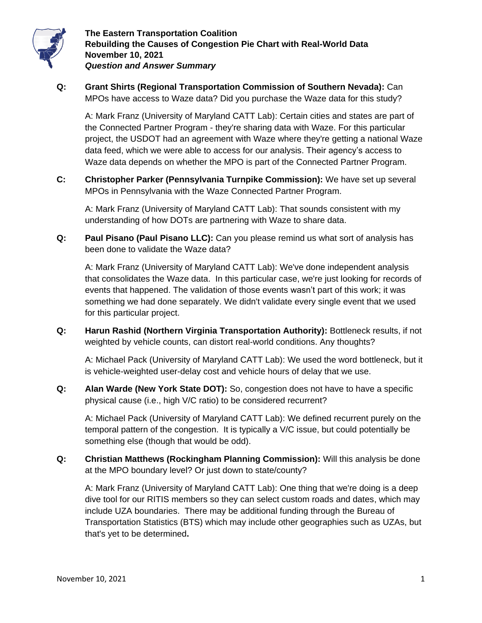

**Q: Grant Shirts (Regional Transportation Commission of Southern Nevada):** Can MPOs have access to Waze data? Did you purchase the Waze data for this study?

A: Mark Franz (University of Maryland CATT Lab): Certain cities and states are part of the Connected Partner Program - they're sharing data with Waze. For this particular project, the USDOT had an agreement with Waze where they're getting a national Waze data feed, which we were able to access for our analysis. Their agency's access to Waze data depends on whether the MPO is part of the Connected Partner Program.

**C: Christopher Parker (Pennsylvania Turnpike Commission):** We have set up several MPOs in Pennsylvania with the Waze Connected Partner Program.

A: Mark Franz (University of Maryland CATT Lab): That sounds consistent with my understanding of how DOTs are partnering with Waze to share data.

**Q: Paul Pisano (Paul Pisano LLC):** Can you please remind us what sort of analysis has been done to validate the Waze data?

A: Mark Franz (University of Maryland CATT Lab): We've done independent analysis that consolidates the Waze data. In this particular case, we're just looking for records of events that happened. The validation of those events wasn't part of this work; it was something we had done separately. We didn't validate every single event that we used for this particular project.

**Q: Harun Rashid (Northern Virginia Transportation Authority):** Bottleneck results, if not weighted by vehicle counts, can distort real-world conditions. Any thoughts?

A: Michael Pack (University of Maryland CATT Lab): We used the word bottleneck, but it is vehicle-weighted user-delay cost and vehicle hours of delay that we use.

**Q: Alan Warde (New York State DOT):** So, congestion does not have to have a specific physical cause (i.e., high V/C ratio) to be considered recurrent?

A: Michael Pack (University of Maryland CATT Lab): We defined recurrent purely on the temporal pattern of the congestion. It is typically a V/C issue, but could potentially be something else (though that would be odd).

**Q: Christian Matthews (Rockingham Planning Commission):** Will this analysis be done at the MPO boundary level? Or just down to state/county?

A: Mark Franz (University of Maryland CATT Lab): One thing that we're doing is a deep dive tool for our RITIS members so they can select custom roads and dates, which may include UZA boundaries. There may be additional funding through the Bureau of Transportation Statistics (BTS) which may include other geographies such as UZAs, but that's yet to be determined**.**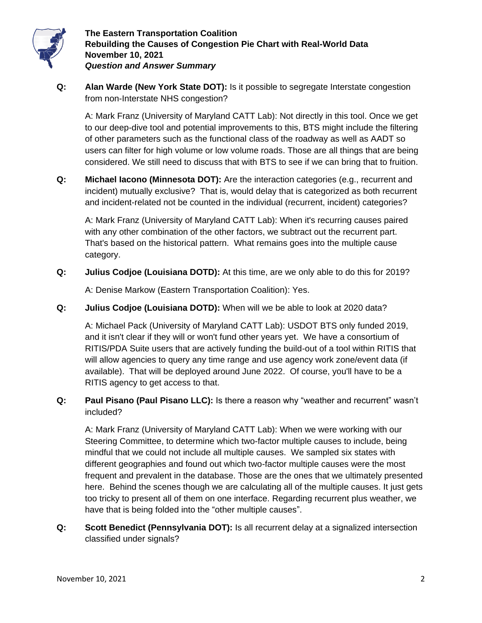

**Q: Alan Warde (New York State DOT):** Is it possible to segregate Interstate congestion from non-Interstate NHS congestion?

A: Mark Franz (University of Maryland CATT Lab): Not directly in this tool. Once we get to our deep-dive tool and potential improvements to this, BTS might include the filtering of other parameters such as the functional class of the roadway as well as AADT so users can filter for high volume or low volume roads. Those are all things that are being considered. We still need to discuss that with BTS to see if we can bring that to fruition.

**Q: Michael Iacono (Minnesota DOT):** Are the interaction categories (e.g., recurrent and incident) mutually exclusive? That is, would delay that is categorized as both recurrent and incident-related not be counted in the individual (recurrent, incident) categories?

A: Mark Franz (University of Maryland CATT Lab): When it's recurring causes paired with any other combination of the other factors, we subtract out the recurrent part. That's based on the historical pattern. What remains goes into the multiple cause category.

**Q: Julius Codjoe (Louisiana DOTD):** At this time, are we only able to do this for 2019?

A: Denise Markow (Eastern Transportation Coalition): Yes.

**Q: Julius Codjoe (Louisiana DOTD):** When will we be able to look at 2020 data?

A: Michael Pack (University of Maryland CATT Lab): USDOT BTS only funded 2019, and it isn't clear if they will or won't fund other years yet. We have a consortium of RITIS/PDA Suite users that are actively funding the build-out of a tool within RITIS that will allow agencies to query any time range and use agency work zone/event data (if available). That will be deployed around June 2022. Of course, you'll have to be a RITIS agency to get access to that.

**Q: Paul Pisano (Paul Pisano LLC):** Is there a reason why "weather and recurrent" wasn't included?

A: Mark Franz (University of Maryland CATT Lab): When we were working with our Steering Committee, to determine which two-factor multiple causes to include, being mindful that we could not include all multiple causes. We sampled six states with different geographies and found out which two-factor multiple causes were the most frequent and prevalent in the database. Those are the ones that we ultimately presented here. Behind the scenes though we are calculating all of the multiple causes. It just gets too tricky to present all of them on one interface. Regarding recurrent plus weather, we have that is being folded into the "other multiple causes".

**Q: Scott Benedict (Pennsylvania DOT):** Is all recurrent delay at a signalized intersection classified under signals?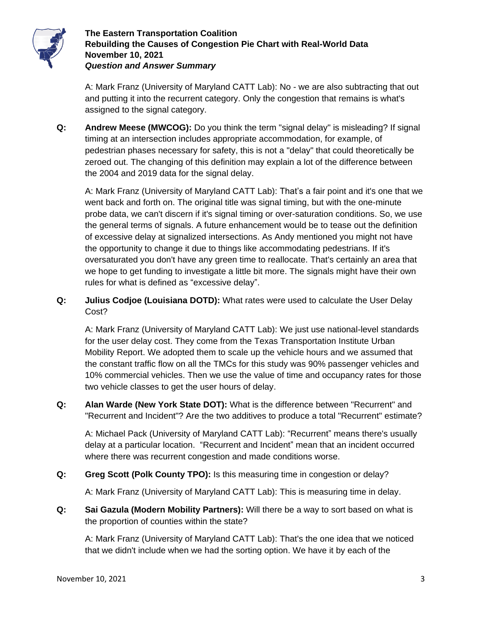

A: Mark Franz (University of Maryland CATT Lab): No - we are also subtracting that out and putting it into the recurrent category. Only the congestion that remains is what's assigned to the signal category.

**Q: Andrew Meese (MWCOG):** Do you think the term "signal delay" is misleading? If signal timing at an intersection includes appropriate accommodation, for example, of pedestrian phases necessary for safety, this is not a "delay" that could theoretically be zeroed out. The changing of this definition may explain a lot of the difference between the 2004 and 2019 data for the signal delay.

A: Mark Franz (University of Maryland CATT Lab): That's a fair point and it's one that we went back and forth on. The original title was signal timing, but with the one-minute probe data, we can't discern if it's signal timing or over-saturation conditions. So, we use the general terms of signals. A future enhancement would be to tease out the definition of excessive delay at signalized intersections. As Andy mentioned you might not have the opportunity to change it due to things like accommodating pedestrians. If it's oversaturated you don't have any green time to reallocate. That's certainly an area that we hope to get funding to investigate a little bit more. The signals might have their own rules for what is defined as "excessive delay".

**Q: Julius Codjoe (Louisiana DOTD):** What rates were used to calculate the User Delay Cost?

A: Mark Franz (University of Maryland CATT Lab): We just use national-level standards for the user delay cost. They come from the Texas Transportation Institute Urban Mobility Report. We adopted them to scale up the vehicle hours and we assumed that the constant traffic flow on all the TMCs for this study was 90% passenger vehicles and 10% commercial vehicles. Then we use the value of time and occupancy rates for those two vehicle classes to get the user hours of delay.

**Q: Alan Warde (New York State DOT):** What is the difference between "Recurrent" and "Recurrent and Incident"? Are the two additives to produce a total "Recurrent" estimate?

A: Michael Pack (University of Maryland CATT Lab): "Recurrent" means there's usually delay at a particular location. "Recurrent and Incident" mean that an incident occurred where there was recurrent congestion and made conditions worse.

**Q: Greg Scott (Polk County TPO):** Is this measuring time in congestion or delay?

A: Mark Franz (University of Maryland CATT Lab): This is measuring time in delay.

**Q: Sai Gazula (Modern Mobility Partners):** Will there be a way to sort based on what is the proportion of counties within the state?

A: Mark Franz (University of Maryland CATT Lab): That's the one idea that we noticed that we didn't include when we had the sorting option. We have it by each of the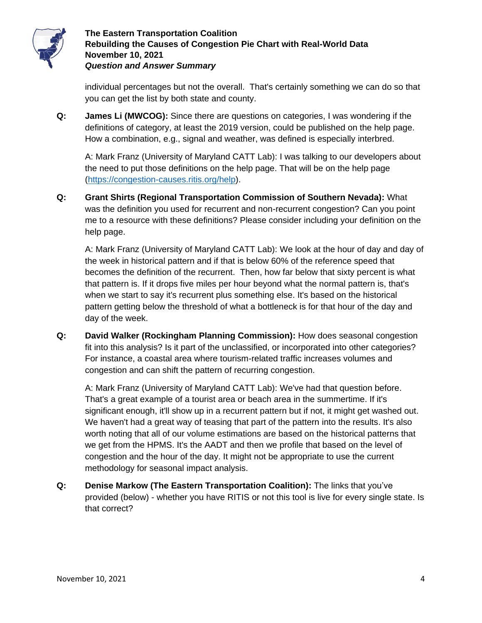

individual percentages but not the overall. That's certainly something we can do so that you can get the list by both state and county.

**Q: James Li (MWCOG):** Since there are questions on categories, I was wondering if the definitions of category, at least the 2019 version, could be published on the help page. How a combination, e.g., signal and weather, was defined is especially interbred.

A: Mark Franz (University of Maryland CATT Lab): I was talking to our developers about the need to put those definitions on the help page. That will be on the help page [\(https://congestion-causes.ritis.org/help\)](https://congestion-causes.ritis.org/help).

**Q: Grant Shirts (Regional Transportation Commission of Southern Nevada):** What was the definition you used for recurrent and non-recurrent congestion? Can you point me to a resource with these definitions? Please consider including your definition on the help page.

A: Mark Franz (University of Maryland CATT Lab): We look at the hour of day and day of the week in historical pattern and if that is below 60% of the reference speed that becomes the definition of the recurrent. Then, how far below that sixty percent is what that pattern is. If it drops five miles per hour beyond what the normal pattern is, that's when we start to say it's recurrent plus something else. It's based on the historical pattern getting below the threshold of what a bottleneck is for that hour of the day and day of the week.

**Q: David Walker (Rockingham Planning Commission):** How does seasonal congestion fit into this analysis? Is it part of the unclassified, or incorporated into other categories? For instance, a coastal area where tourism-related traffic increases volumes and congestion and can shift the pattern of recurring congestion.

A: Mark Franz (University of Maryland CATT Lab): We've had that question before. That's a great example of a tourist area or beach area in the summertime. If it's significant enough, it'll show up in a recurrent pattern but if not, it might get washed out. We haven't had a great way of teasing that part of the pattern into the results. It's also worth noting that all of our volume estimations are based on the historical patterns that we get from the HPMS. It's the AADT and then we profile that based on the level of congestion and the hour of the day. It might not be appropriate to use the current methodology for seasonal impact analysis.

**Q: Denise Markow (The Eastern Transportation Coalition):** The links that you've provided (below) - whether you have RITIS or not this tool is live for every single state. Is that correct?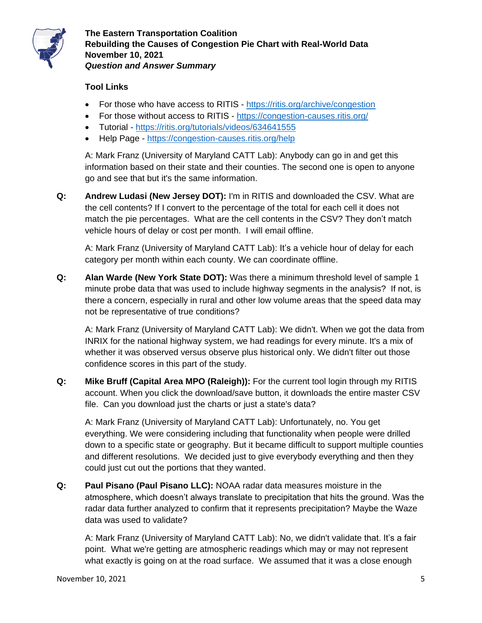

## **Tool Links**

- For those who have access to RITIS <https://ritis.org/archive/congestion>
- For those without access to RITIS <https://congestion-causes.ritis.org/>
- Tutorial <https://ritis.org/tutorials/videos/634641555>
- Help Page <https://congestion-causes.ritis.org/help>

A: Mark Franz (University of Maryland CATT Lab): Anybody can go in and get this information based on their state and their counties. The second one is open to anyone go and see that but it's the same information.

**Q: Andrew Ludasi (New Jersey DOT):** I'm in RITIS and downloaded the CSV. What are the cell contents? If I convert to the percentage of the total for each cell it does not match the pie percentages. What are the cell contents in the CSV? They don't match vehicle hours of delay or cost per month. I will email offline.

A: Mark Franz (University of Maryland CATT Lab): It's a vehicle hour of delay for each category per month within each county. We can coordinate offline.

**Q: Alan Warde (New York State DOT):** Was there a minimum threshold level of sample 1 minute probe data that was used to include highway segments in the analysis? If not, is there a concern, especially in rural and other low volume areas that the speed data may not be representative of true conditions?

A: Mark Franz (University of Maryland CATT Lab): We didn't. When we got the data from INRIX for the national highway system, we had readings for every minute. It's a mix of whether it was observed versus observe plus historical only. We didn't filter out those confidence scores in this part of the study.

**Q: Mike Bruff (Capital Area MPO (Raleigh)):** For the current tool login through my RITIS account. When you click the download/save button, it downloads the entire master CSV file. Can you download just the charts or just a state's data?

A: Mark Franz (University of Maryland CATT Lab): Unfortunately, no. You get everything. We were considering including that functionality when people were drilled down to a specific state or geography. But it became difficult to support multiple counties and different resolutions. We decided just to give everybody everything and then they could just cut out the portions that they wanted.

**Q: Paul Pisano (Paul Pisano LLC):** NOAA radar data measures moisture in the atmosphere, which doesn't always translate to precipitation that hits the ground. Was the radar data further analyzed to confirm that it represents precipitation? Maybe the Waze data was used to validate?

A: Mark Franz (University of Maryland CATT Lab): No, we didn't validate that. It's a fair point. What we're getting are atmospheric readings which may or may not represent what exactly is going on at the road surface. We assumed that it was a close enough